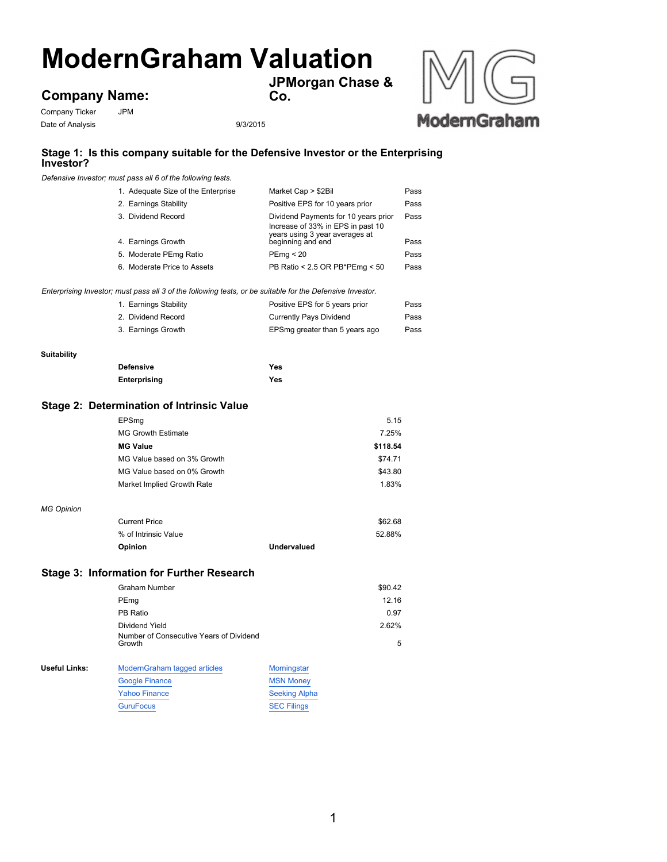# **ModernGraham Valuation**

**JPMorgan Chase &**

**Co.**



## Company Ticker JPM **Company Name:**

Date of Analysis 9/3/2015

### **Stage 1: Is this company suitable for the Defensive Investor or the Enterprising Investor?**

*Defensive Investor; must pass all 6 of the following tests.*

| 1. Adequate Size of the Enterprise | Market Cap > \$2Bil                                                                                         | Pass |
|------------------------------------|-------------------------------------------------------------------------------------------------------------|------|
| 2. Earnings Stability              | Positive EPS for 10 years prior                                                                             | Pass |
| 3. Dividend Record                 | Dividend Payments for 10 years prior<br>Increase of 33% in EPS in past 10<br>years using 3 year averages at | Pass |
| 4. Earnings Growth                 | beginning and end                                                                                           | Pass |
| 5. Moderate PEmg Ratio             | PEmq < 20                                                                                                   | Pass |
| 6. Moderate Price to Assets        | PB Ratio < 2.5 OR PB*PEmg < 50                                                                              | Pass |

*Enterprising Investor; must pass all 3 of the following tests, or be suitable for the Defensive Investor.*

| 1. Earnings Stability | Positive EPS for 5 years prior | Pass |
|-----------------------|--------------------------------|------|
| 2. Dividend Record    | Currently Pays Dividend        | Pass |
| 3. Earnings Growth    | EPSmg greater than 5 years ago | Pass |

#### **Suitability**

| <b>Defensive</b> | Yes |
|------------------|-----|
| Enterprising     | Yes |

#### **Stage 2: Determination of Intrinsic Value**

| EPSmg                       | 5.15     |
|-----------------------------|----------|
| <b>MG Growth Estimate</b>   | 7.25%    |
| <b>MG Value</b>             | \$118.54 |
| MG Value based on 3% Growth | \$74.71  |
| MG Value based on 0% Growth | \$43.80  |
| Market Implied Growth Rate  | 183%     |

#### *MG Opinion*

| <b>Opinion</b>       | <b>Undervalued</b> |         |
|----------------------|--------------------|---------|
| % of Intrinsic Value |                    | 52.88%  |
| <b>Current Price</b> |                    | \$62.68 |
|                      |                    |         |

#### **Stage 3: Information for Further Research**

|               | <b>Graham Number</b>                              |                      | \$90.42 |
|---------------|---------------------------------------------------|----------------------|---------|
|               | PEmg                                              |                      | 12.16   |
|               | PB Ratio                                          |                      | 0.97    |
|               | Dividend Yield                                    |                      | 2.62%   |
|               | Number of Consecutive Years of Dividend<br>Growth |                      | 5       |
| Useful Links: | ModernGraham tagged articles                      | Morningstar          |         |
|               | <b>Google Finance</b>                             | <b>MSN Money</b>     |         |
|               | <b>Yahoo Finance</b>                              | <b>Seeking Alpha</b> |         |
|               | <b>GuruFocus</b>                                  | <b>SEC Filings</b>   |         |
|               |                                                   |                      |         |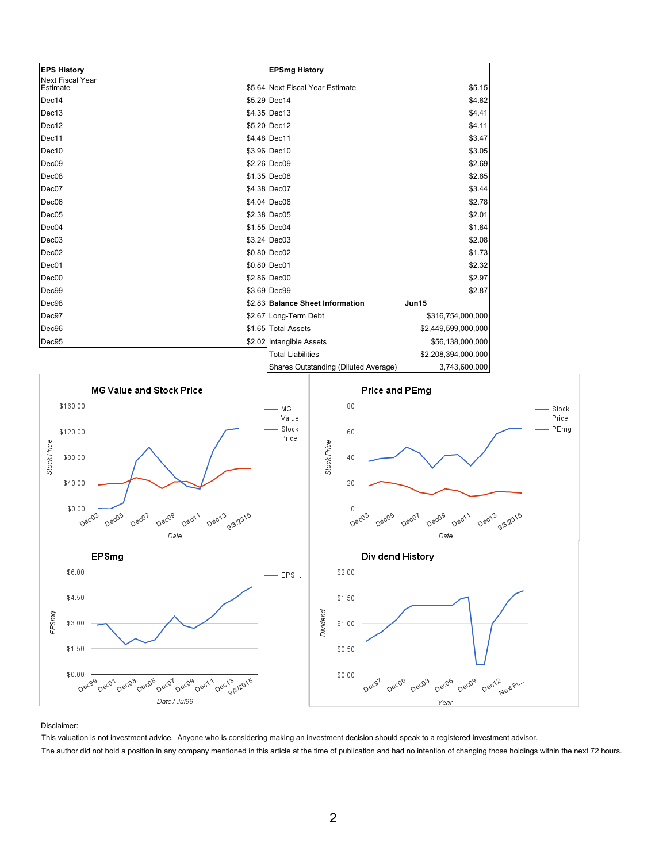| <b>EPS History</b>                  | <b>EPSmg History</b>                 |                     |
|-------------------------------------|--------------------------------------|---------------------|
| <b>Next Fiscal Year</b><br>Estimate | \$5.64 Next Fiscal Year Estimate     | \$5.15              |
| Dec14                               | \$5.29 Dec14                         | \$4.82              |
| Dec13                               | $$4.35 $ Dec13                       | \$4.41              |
| Dec12                               | \$5.20 Dec12                         | \$4.11              |
| Dec11                               | \$4.48 Dec11                         | \$3.47              |
| Dec10                               | \$3.96 Dec10                         | \$3.05              |
| Dec <sub>09</sub>                   | \$2.26 Dec09                         | \$2.69              |
| Dec08                               | \$1.35 Dec08                         | \$2.85              |
| Dec07                               | \$4.38 Dec07                         | \$3.44              |
| Dec <sub>06</sub>                   | \$4.04 Dec06                         | \$2.78              |
| Dec05                               | \$2.38 Dec05                         | \$2.01              |
| Dec04                               | \$1.55 Dec04                         | \$1.84              |
| Dec <sub>03</sub>                   | $$3.24$ Dec03                        | \$2.08              |
| Dec <sub>02</sub>                   | \$0.80 Dec02                         | \$1.73              |
| Dec01                               | \$0.80 Dec01                         | \$2.32              |
| Dec <sub>00</sub>                   | \$2.86 Dec00                         | \$2.97              |
| Dec99                               | \$3.69 Dec99                         | \$2.87              |
| Dec98                               | \$2.83 Balance Sheet Information     | Jun15               |
| Dec97                               | \$2.67 Long-Term Debt                | \$316,754,000,000   |
| Dec96                               | \$1.65 Total Assets                  | \$2,449,599,000,000 |
| Dec95                               | \$2.02 Intangible Assets             | \$56,138,000,000    |
|                                     | <b>Total Liabilities</b>             | \$2,208,394,000,000 |
|                                     | Shares Outstanding (Diluted Average) | 3,743,600,000       |



Disclaimer:

This valuation is not investment advice. Anyone who is considering making an investment decision should speak to a registered investment advisor. The author did not hold a position in any company mentioned in this article at the time of publication and had no intention of changing those holdings within the next 72 hours.